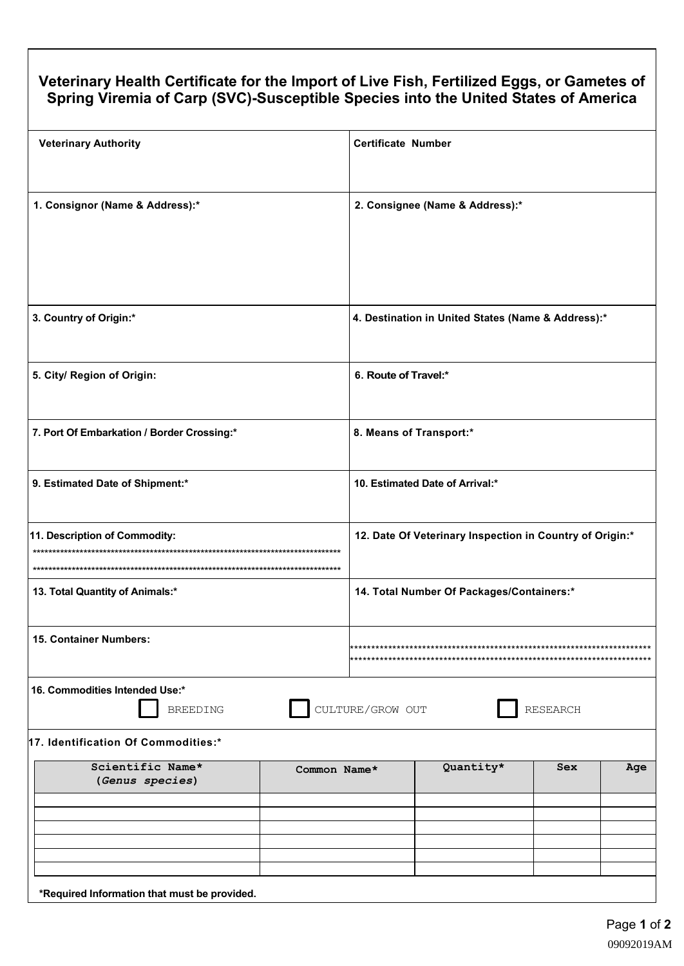## Veterinary Health Certificate for the Import of Live Fish, Fertilized Eggs, or Gametes of Spring Viremia of Carp (SVC)-Susceptible Species into the United States of America

| <b>Veterinary Authority</b>                                                              | <b>Certificate Number</b>                                |  |
|------------------------------------------------------------------------------------------|----------------------------------------------------------|--|
| 1. Consignor (Name & Address):*                                                          | 2. Consignee (Name & Address):*                          |  |
| 3. Country of Origin:*                                                                   | 4. Destination in United States (Name & Address):*       |  |
| 5. City/ Region of Origin:                                                               | 6. Route of Travel:*                                     |  |
| 7. Port Of Embarkation / Border Crossing:*                                               | 8. Means of Transport:*                                  |  |
| 9. Estimated Date of Shipment:*                                                          | 10. Estimated Date of Arrival:*                          |  |
| 11. Description of Commodity:                                                            | 12. Date Of Veterinary Inspection in Country of Origin:* |  |
| 13. Total Quantity of Animals:*                                                          | 14. Total Number Of Packages/Containers:*                |  |
| 15. Container Numbers:                                                                   |                                                          |  |
| 16. Commodities Intended Use:*<br>CULTURE/GROW OUT<br><b>BREEDING</b><br><b>RESEARCH</b> |                                                          |  |
| 17. Identification Of Commodities:*                                                      |                                                          |  |
| Scientific Name*<br>Common Name*<br>(Genus species)                                      | Quantity*<br>Sex<br>Age                                  |  |
|                                                                                          |                                                          |  |
|                                                                                          |                                                          |  |
|                                                                                          |                                                          |  |
|                                                                                          |                                                          |  |
|                                                                                          |                                                          |  |
| *Required Information that must be provided.                                             |                                                          |  |